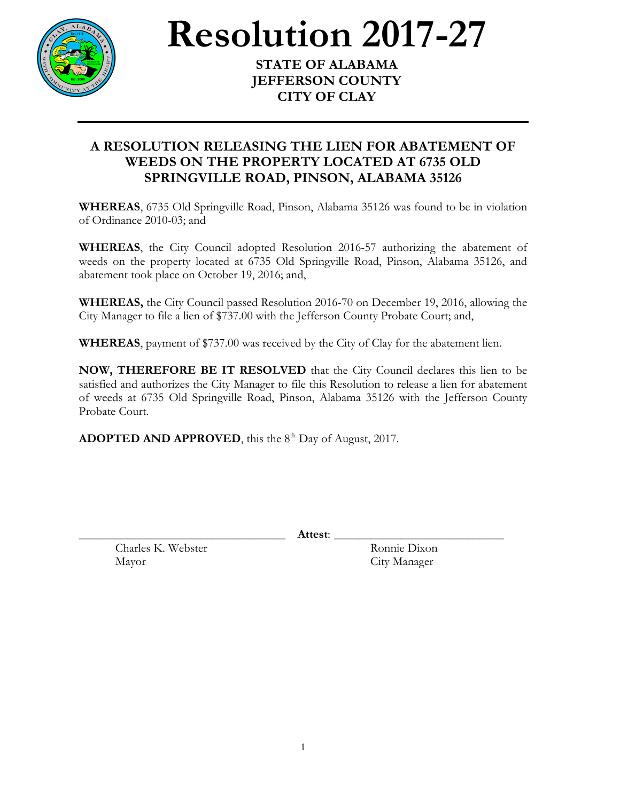

**Resolution** 2017-27

**JEFFERSON COUNTY CITY OF CLAY**

## **A RESOLUTION RELEASING THE LIEN FOR ABATEMENT OF WEEDS ON THE PROPERTY LOCATED AT 6735 OLD SPRINGVILLE ROAD, PINSON, ALABAMA 35126**

**WHEREAS**, 6735 Old Springville Road, Pinson, Alabama 35126 was found to be in violation of Ordinance 2010-03; and

**WHEREAS**, the City Council adopted Resolution 2016-57 authorizing the abatement of weeds on the property located at 6735 Old Springville Road, Pinson, Alabama 35126, and abatement took place on October 19, 2016; and,

**WHEREAS,** the City Council passed Resolution 2016-70 on December 19, 2016, allowing the City Manager to file a lien of \$737.00 with the Jefferson County Probate Court; and,

**WHEREAS**, payment of \$737.00 was received by the City of Clay for the abatement lien.

**NOW, THEREFORE BE IT RESOLVED** that the City Council declares this lien to be satisfied and authorizes the City Manager to file this Resolution to release a lien for abatement of weeds at 6735 Old Springville Road, Pinson, Alabama 35126 with the Jefferson County Probate Court.

**ADOPTED AND APPROVED**, this the 8<sup>th</sup> Day of August, 2017.

\_\_\_\_\_\_\_\_\_\_\_\_\_\_\_\_\_\_\_\_\_\_\_\_\_\_\_\_\_\_\_\_\_\_ **Attest**: \_\_\_\_\_\_\_\_\_\_\_\_\_\_\_\_\_\_\_\_\_\_\_\_\_\_\_\_

Charles K. Webster Ronnie Dixon Mayor City Manager